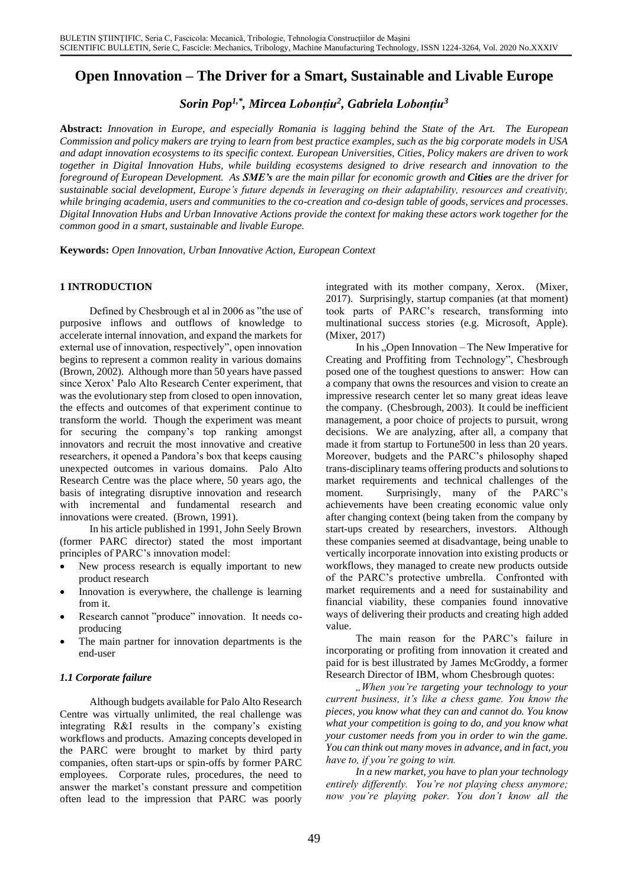# **Open Innovation – The Driver for a Smart, Sustainable and Livable Europe**

*Sorin Pop1,\* , Mircea Lobonțiu<sup>2</sup> , Gabriela Lobonțiu<sup>3</sup>*

**Abstract:** *Innovation in Europe, and especially Romania is lagging behind the State of the Art. The European Commission and policy makers are trying to learn from best practice examples, such as the big corporate models in USA and adapt innovation ecosystems to its specific context. European Universities, Cities, Policy makers are driven to work together in Digital Innovation Hubs, while building ecosystems designed to drive research and innovation to the foreground of European Development. As SME's are the main pillar for economic growth and Cities are the driver for sustainable social development, Europe's future depends in leveraging on their adaptability, resources and creativity, while bringing academia, users and communities to the co-creation and co-design table of goods, services and processes. Digital Innovation Hubs and Urban Innovative Actions provide the context for making these actors work together for the common good in a smart, sustainable and livable Europe.* 

**Keywords:** *Open Innovation, Urban Innovative Action, European Context*

### **1 INTRODUCTION**

Defined by Chesbrough et al in 2006 as "the use of purposive inflows and outflows of knowledge to accelerate internal innovation, and expand the markets for external use of innovation, respectively", open innovation begins to represent a common reality in various domains (Brown, 2002). Although more than 50 years have passed since Xerox' Palo Alto Research Center experiment, that was the evolutionary step from closed to open innovation, the effects and outcomes of that experiment continue to transform the world. Though the experiment was meant for securing the company's top ranking amongst innovators and recruit the most innovative and creative researchers, it opened a Pandora's box that keeps causing unexpected outcomes in various domains. Palo Alto Research Centre was the place where, 50 years ago, the basis of integrating disruptive innovation and research with incremental and fundamental research and innovations were created. (Brown, 1991).

In his article published in 1991, John Seely Brown (former PARC director) stated the most important principles of PARC's innovation model:

- New process research is equally important to new product research
- Innovation is everywhere, the challenge is learning from it.
- Research cannot "produce" innovation. It needs coproducing
- The main partner for innovation departments is the end-user

### *1.1 Corporate failure*

Although budgets available for Palo Alto Research Centre was virtually unlimited, the real challenge was integrating R&I results in the company's existing workflows and products. Amazing concepts developed in the PARC were brought to market by third party companies, often start-ups or spin-offs by former PARC employees. Corporate rules, procedures, the need to answer the market's constant pressure and competition often lead to the impression that PARC was poorly

integrated with its mother company, Xerox. (Mixer, 2017). Surprisingly, startup companies (at that moment) took parts of PARC's research, transforming into multinational success stories (e.g. Microsoft, Apple). (Mixer, 2017)

In his "Open Innovation – The New Imperative for Creating and Proffiting from Technology", Chesbrough posed one of the toughest questions to answer: How can a company that owns the resources and vision to create an impressive research center let so many great ideas leave the company. (Chesbrough, 2003). It could be inefficient management, a poor choice of projects to pursuit, wrong decisions. We are analyzing, after all, a company that made it from startup to Fortune500 in less than 20 years. Moreover, budgets and the PARC's philosophy shaped trans-disciplinary teams offering products and solutions to market requirements and technical challenges of the moment. Surprisingly, many of the PARC's achievements have been creating economic value only after changing context (being taken from the company by start-ups created by researchers, investors. Although these companies seemed at disadvantage, being unable to vertically incorporate innovation into existing products or workflows, they managed to create new products outside of the PARC's protective umbrella. Confronted with market requirements and a need for sustainability and financial viability, these companies found innovative ways of delivering their products and creating high added value.

The main reason for the PARC's failure in incorporating or profiting from innovation it created and paid for is best illustrated by James McGroddy, a former Research Director of IBM, whom Chesbrough quotes:

*"When you're targeting your technology to your current business, it's like a chess game. You know the pieces, you know what they can and cannot do. You know what your competition is going to do, and you know what your customer needs from you in order to win the game. You can think out many moves in advance, and in fact, you have to, if you're going to win.*

*In a new market, you have to plan your technology entirely differently. You're not playing chess anymore; now you're playing poker. You don't know all the*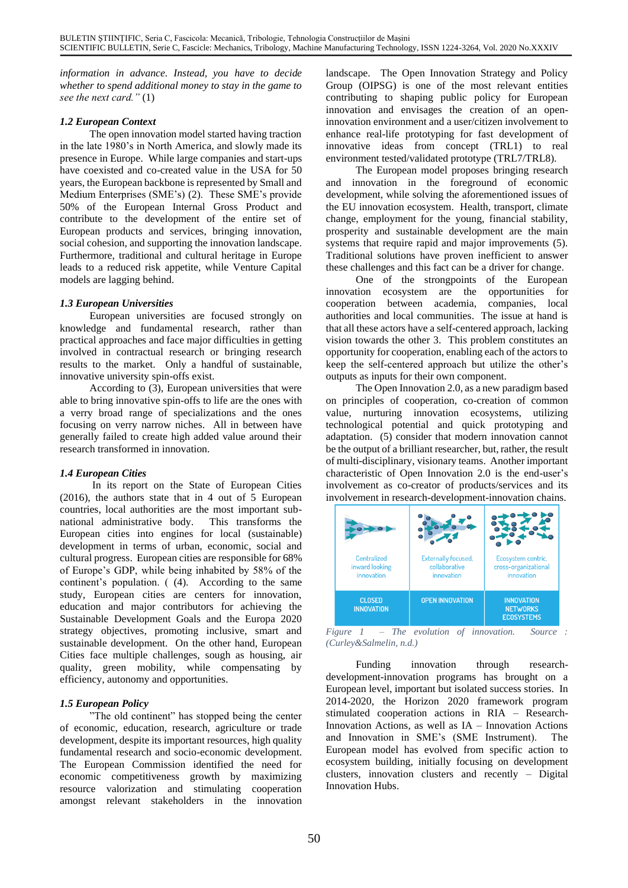*information in advance. Instead, you have to decide whether to spend additional money to stay in the game to see the next card."* (1)

### *1.2 European Context*

The open innovation model started having traction in the late 1980's in North America, and slowly made its presence in Europe. While large companies and start-ups have coexisted and co-created value in the USA for 50 years, the European backbone is represented by Small and Medium Enterprises (SME's) (2). These SME's provide 50% of the European Internal Gross Product and contribute to the development of the entire set of European products and services, bringing innovation, social cohesion, and supporting the innovation landscape. Furthermore, traditional and cultural heritage in Europe leads to a reduced risk appetite, while Venture Capital models are lagging behind.

### *1.3 European Universities*

European universities are focused strongly on knowledge and fundamental research, rather than practical approaches and face major difficulties in getting involved in contractual research or bringing research results to the market. Only a handful of sustainable, innovative university spin-offs exist.

According to (3), European universities that were able to bring innovative spin-offs to life are the ones with a verry broad range of specializations and the ones focusing on verry narrow niches. All in between have generally failed to create high added value around their research transformed in innovation.

## *1.4 European Cities*

In its report on the State of European Cities (2016), the authors state that in 4 out of 5 European countries, local authorities are the most important subnational administrative body. This transforms the European cities into engines for local (sustainable) development in terms of urban, economic, social and cultural progress. European cities are responsible for 68% of Europe's GDP, while being inhabited by 58% of the continent's population. ( (4). According to the same study, European cities are centers for innovation, education and major contributors for achieving the Sustainable Development Goals and the Europa 2020 strategy objectives, promoting inclusive, smart and sustainable development. On the other hand, European Cities face multiple challenges, sough as housing, air quality, green mobility, while compensating by efficiency, autonomy and opportunities.

## *1.5 European Policy*

"The old continent" has stopped being the center of economic, education, research, agriculture or trade development, despite its important resources, high quality fundamental research and socio-economic development. The European Commission identified the need for economic competitiveness growth by maximizing resource valorization and stimulating cooperation amongst relevant stakeholders in the innovation landscape. The Open Innovation Strategy and Policy Group (OIPSG) is one of the most relevant entities contributing to shaping public policy for European innovation and envisages the creation of an openinnovation environment and a user/citizen involvement to enhance real-life prototyping for fast development of innovative ideas from concept (TRL1) to real environment tested/validated prototype (TRL7/TRL8).

The European model proposes bringing research and innovation in the foreground of economic development, while solving the aforementioned issues of the EU innovation ecosystem. Health, transport, climate change, employment for the young, financial stability, prosperity and sustainable development are the main systems that require rapid and major improvements (5). Traditional solutions have proven inefficient to answer these challenges and this fact can be a driver for change.

One of the strongpoints of the European innovation ecosystem are the opportunities for cooperation between academia, companies, local authorities and local communities. The issue at hand is that all these actors have a self-centered approach, lacking vision towards the other 3. This problem constitutes an opportunity for cooperation, enabling each of the actors to keep the self-centered approach but utilize the other's outputs as inputs for their own component.

The Open Innovation 2.0, as a new paradigm based on principles of cooperation, co-creation of common value, nurturing innovation ecosystems, utilizing technological potential and quick prototyping and adaptation. (5) consider that modern innovation cannot be the output of a brilliant researcher, but, rather, the result of multi-disciplinary, visionary teams. Another important characteristic of Open Innovation 2.0 is the end-user's involvement as co-creator of products/services and its involvement in research-development-innovation chains.

| Centralized<br>inward looking<br>innovation |                                                           | Ecosystem centric,<br>cross-organizational<br>innovation  |
|---------------------------------------------|-----------------------------------------------------------|-----------------------------------------------------------|
|                                             | <b>Externally focused,</b><br>collaborative<br>innovation |                                                           |
| <b>CLOSED</b><br><b>INNOVATION</b>          | <b>OPEN INNOVATION</b>                                    | <b>INNOVATION</b><br><b>NETWORKS</b><br><b>ECOSYSTEMS</b> |

*Figure 1 – The evolution of innovation. Source : (Curley&Salmelin, n.d.)*

Funding innovation through researchdevelopment-innovation programs has brought on a European level, important but isolated success stories. In 2014-2020, the Horizon 2020 framework program stimulated cooperation actions in RIA – Research-Innovation Actions, as well as IA – Innovation Actions and Innovation in SME's (SME Instrument). The European model has evolved from specific action to ecosystem building, initially focusing on development clusters, innovation clusters and recently – Digital Innovation Hubs.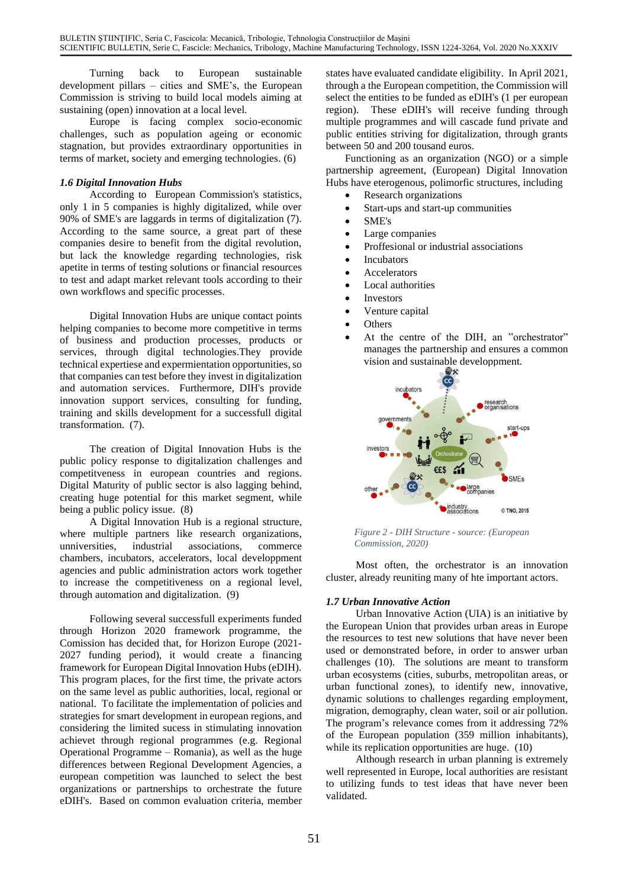Turning back to European sustainable development pillars – cities and SME's, the European Commission is striving to build local models aiming at sustaining (open) innovation at a local level.

Europe is facing complex socio-economic challenges, such as population ageing or economic stagnation, but provides extraordinary opportunities in terms of market, society and emerging technologies. (6)

### *1.6 Digital Innovation Hubs*

According to European Commission's statistics, only 1 in 5 companies is highly digitalized, while over 90% of SME's are laggards in terms of digitalization (7). According to the same source, a great part of these companies desire to benefit from the digital revolution, but lack the knowledge regarding technologies, risk apetite in terms of testing solutions or financial resources to test and adapt market relevant tools according to their own workflows and specific processes.

Digital Innovation Hubs are unique contact points helping companies to become more competitive in terms of business and production processes, products or services, through digital technologies.They provide technical expertiese and expermientation opportunities, so that companies can test before they invest in digitalization and automation services. Furthermore, DIH's provide innovation support services, consulting for funding, training and skills development for a successfull digital transformation. (7).

The creation of Digital Innovation Hubs is the public policy response to digitalization challenges and competitveness in european countries and regions. Digital Maturity of public sector is also lagging behind, creating huge potential for this market segment, while being a public policy issue. (8)

A Digital Innovation Hub is a regional structure, where multiple partners like research organizations, unniversities, industrial associations, commerce chambers, incubators, accelerators, local developpment agencies and public administration actors work together to increase the competitiveness on a regional level, through automation and digitalization. (9)

Following several successfull experiments funded through Horizon 2020 framework programme, the Comission has decided that, for Horizon Europe (2021- 2027 funding period), it would create a financing framework for European Digital Innovation Hubs (eDIH). This program places, for the first time, the private actors on the same level as public authorities, local, regional or national. To facilitate the implementation of policies and strategies for smart development in european regions, and considering the limited sucess in stimulating innovation achievet through regional programmes (e.g. Regional Operational Programme – Romania), as well as the huge differences between Regional Development Agencies, a european competition was launched to select the best organizations or partnerships to orchestrate the future eDIH's. Based on common evaluation criteria, member states have evaluated candidate eligibility. In April 2021, through a the European competition, the Commission will select the entities to be funded as eDIH's (1 per european region). These eDIH's will receive funding through multiple programmes and will cascade fund private and public entities striving for digitalization, through grants between 50 and 200 tousand euros.

Functioning as an organization (NGO) or a simple partnership agreement, (European) Digital Innovation Hubs have eterogenous, polimorfic structures, including

- Research organizations
- Start-ups and start-up communities
- SME's
- Large companies
- Proffesional or industrial associations
- Incubators
- **Accelerators**
- Local authorities
- **Investors**
- Venture capital
- Others
- At the centre of the DIH, an "orchestrator" manages the partnership and ensures a common vision and sustainable developpment.



*Figure 2 - DIH Structure - source: (European Commission, 2020)*

Most often, the orchestrator is an innovation cluster, already reuniting many of hte important actors.

### *1.7 Urban Innovative Action*

Urban Innovative Action (UIA) is an initiative by the European Union that provides urban areas in Europe the resources to test new solutions that have never been used or demonstrated before, in order to answer urban challenges (10). The solutions are meant to transform urban ecosystems (cities, suburbs, metropolitan areas, or urban functional zones), to identify new, innovative, dynamic solutions to challenges regarding employment, migration, demography, clean water, soil or air pollution. The program's relevance comes from it addressing 72% of the European population (359 million inhabitants), while its replication opportunities are huge. (10)

Although research in urban planning is extremely well represented in Europe, local authorities are resistant to utilizing funds to test ideas that have never been validated.